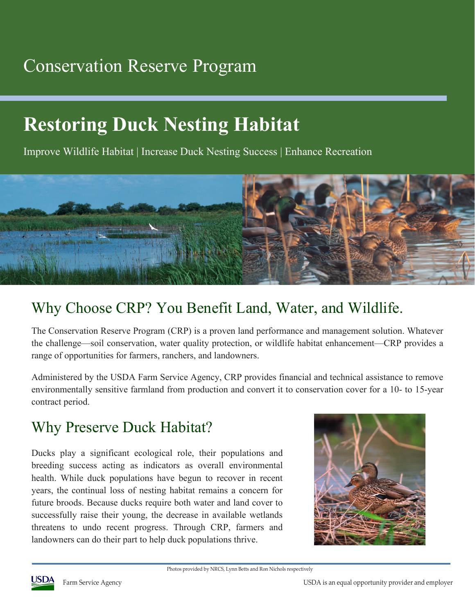## Conservation Reserve Program

# **Restoring Duck Nesting Habitat**

Improve Wildlife Habitat | Increase Duck Nesting Success | Enhance Recreation



### Why Choose CRP? You Benefit Land, Water, and Wildlife.

The Conservation Reserve Program (CRP) is a proven land performance and management solution. Whatever the challenge—soil conservation, water quality protection, or wildlife habitat enhancement—CRP provides a range of opportunities for farmers, ranchers, and landowners.

Administered by the USDA Farm Service Agency, CRP provides financial and technical assistance to remove environmentally sensitive farmland from production and convert it to conservation cover for a 10- to 15-year contract period.

### Why Preserve Duck Habitat?

Ducks play a significant ecological role, their populations and breeding success acting as indicators as overall environmental health. While duck populations have begun to recover in recent years, the continual loss of nesting habitat remains a concern for future broods. Because ducks require both water and land cover to successfully raise their young, the decrease in available wetlands threatens to undo recent progress. Through CRP, farmers and landowners can do their part to help duck populations thrive.